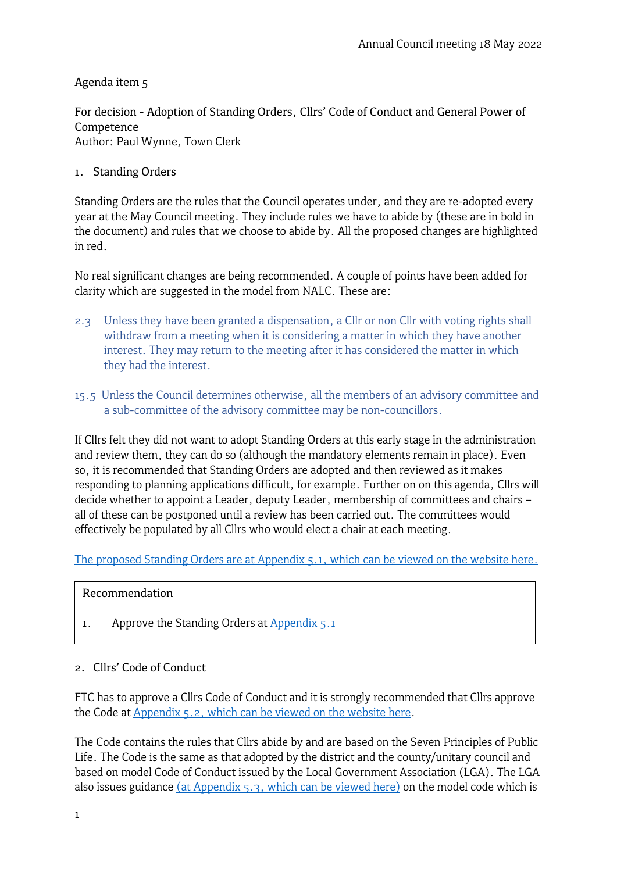## Agenda item 5

For decision - Adoption of Standing Orders, Cllrs' Code of Conduct and General Power of Competence Author: Paul Wynne, Town Clerk

#### 1. Standing Orders

Standing Orders are the rules that the Council operates under, and they are re-adopted every year at the May Council meeting. They include rules we have to abide by (these are in bold in the document) and rules that we choose to abide by. All the proposed changes are highlighted in red.

No real significant changes are being recommended. A couple of points have been added for clarity which are suggested in the model from NALC. These are:

- 2.3 Unless they have been granted a dispensation, a Cllr or non Cllr with voting rights shall withdraw from a meeting when it is considering a matter in which they have another interest. They may return to the meeting after it has considered the matter in which they had the interest.
- 15.5 Unless the Council determines otherwise, all the members of an advisory committee and a sub-committee of the advisory committee may be non-councillors.

If Cllrs felt they did not want to adopt Standing Orders at this early stage in the administration and review them, they can do so (although the mandatory elements remain in place). Even so, it is recommended that Standing Orders are adopted and then reviewed as it makes responding to planning applications difficult, for example. Further on on this agenda, Cllrs will decide whether to appoint a Leader, deputy Leader, membership of committees and chairs – all of these can be postponed until a review has been carried out. The committees would effectively be populated by all Cllrs who would elect a chair at each meeting.

The proposed Standing Orders are at [Appendix 5.1, which can be viewed on the website here.](https://www.frometowncouncil.gov.uk/wp-content/uploads/2022/05/Appendix-5.1-Chapter-2-Standing-orders-2022-23.pdf)

#### Recommendation

1. Approve the Standing Orders at [Appendix 5.1](https://www.frometowncouncil.gov.uk/wp-content/uploads/2022/05/Appendix-5.1-Chapter-2-Standing-orders-2022-23.pdf)

### 2. Cllrs' Code of Conduct

FTC has to approve a Cllrs Code of Conduct and it is strongly recommended that Cllrs approve the Code at [Appendix 5.2, which can be viewed on the website here.](https://www.frometowncouncil.gov.uk/wp-content/uploads/2022/05/Appendix-5.2-Chapter-9-Cllrs-Code-of-Conduct-2022-23.pdf)

The Code contains the rules that Cllrs abide by and are based on the Seven Principles of Public Life. The Code is the same as that adopted by the district and the county/unitary council and based on model Code of Conduct issued by the Local Government Association (LGA). The LGA also issues guidance (at [Appendix 5.3, which can be viewed](https://www.local.gov.uk/publications/guidance-local-government-association-model-councillor-code-conduct) here) on the model code which is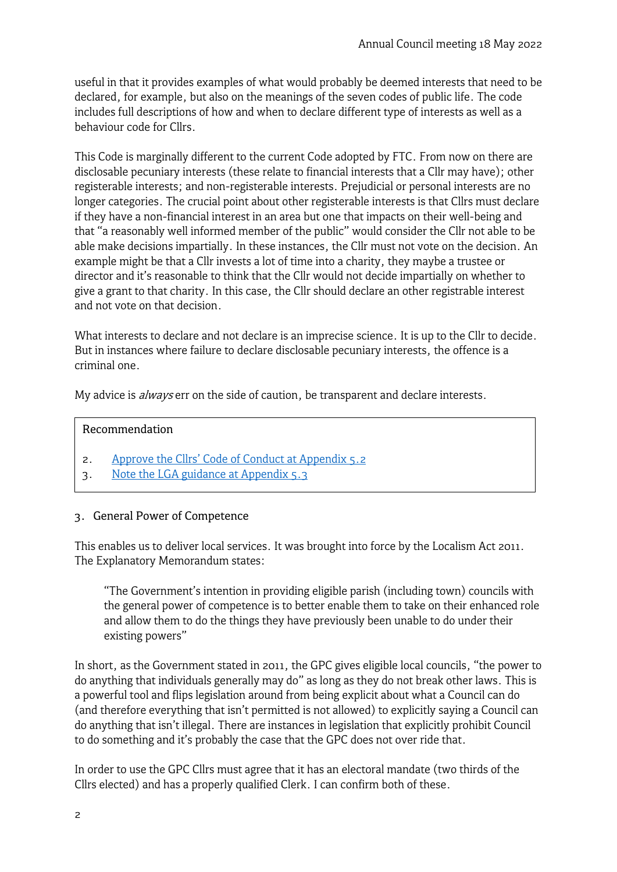useful in that it provides examples of what would probably be deemed interests that need to be declared, for example, but also on the meanings of the seven codes of public life. The code includes full descriptions of how and when to declare different type of interests as well as a behaviour code for Cllrs.

This Code is marginally different to the current Code adopted by FTC. From now on there are disclosable pecuniary interests (these relate to financial interests that a Cllr may have); other registerable interests; and non-registerable interests. Prejudicial or personal interests are no longer categories. The crucial point about other registerable interests is that Cllrs must declare if they have a non-financial interest in an area but one that impacts on their well-being and that "a reasonably well informed member of the public" would consider the Cllr not able to be able make decisions impartially. In these instances, the Cllr must not vote on the decision. An example might be that a Cllr invests a lot of time into a charity, they maybe a trustee or director and it's reasonable to think that the Cllr would not decide impartially on whether to give a grant to that charity. In this case, the Cllr should declare an other registrable interest and not vote on that decision.

What interests to declare and not declare is an imprecise science. It is up to the Cllr to decide. But in instances where failure to declare disclosable pecuniary interests, the offence is a criminal one.

My advice is *always* err on the side of caution, be transparent and declare interests.

### Recommendation

- 2. [Approve the Cllrs' Code of Conduct at](https://www.frometowncouncil.gov.uk/wp-content/uploads/2022/05/Appendix-5.2-Chapter-9-Cllrs-Code-of-Conduct-2022-23.pdf) Appendix 5.2
- 3. [Note the LGA guidance at Appendix 5.3](https://www.local.gov.uk/publications/guidance-local-government-association-model-councillor-code-conduct)

### 3. General Power of Competence

This enables us to deliver local services. It was brought into force by the Localism Act 2011. The Explanatory Memorandum states:

"The Government's intention in providing eligible parish (including town) councils with the general power of competence is to better enable them to take on their enhanced role and allow them to do the things they have previously been unable to do under their existing powers"

In short, as the Government stated in 2011, the GPC gives eligible local councils, "the power to do anything that individuals generally may do" as long as they do not break other laws. This is a powerful tool and flips legislation around from being explicit about what a Council can do (and therefore everything that isn't permitted is not allowed) to explicitly saying a Council can do anything that isn't illegal. There are instances in legislation that explicitly prohibit Council to do something and it's probably the case that the GPC does not over ride that.

In order to use the GPC Cllrs must agree that it has an electoral mandate (two thirds of the Cllrs elected) and has a properly qualified Clerk. I can confirm both of these.